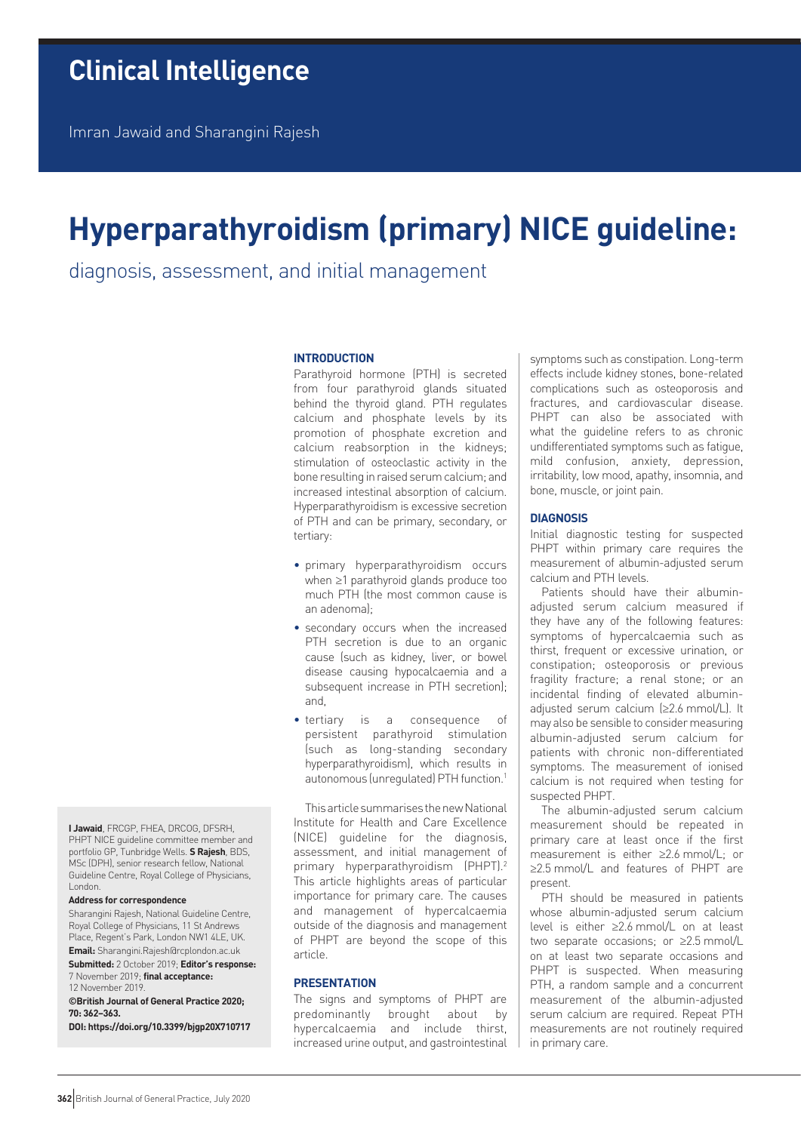Imran Jawaid and Sharangini Rajesh

# **Hyperparathyroidism (primary) NICE guideline:**

diagnosis, assessment, and initial management

# **INTRODUCTION**

Parathyroid hormone (PTH) is secreted from four parathyroid glands situated behind the thyroid gland. PTH regulates calcium and phosphate levels by its promotion of phosphate excretion and calcium reabsorption in the kidneys; stimulation of osteoclastic activity in the bone resulting in raised serum calcium; and increased intestinal absorption of calcium. Hyperparathyroidism is excessive secretion of PTH and can be primary, secondary, or tertiary:

- primary hyperparathyroidism occurs when ≥1 parathyroid glands produce too much PTH (the most common cause is an adenoma);
- secondary occurs when the increased PTH secretion is due to an organic cause (such as kidney, liver, or bowel disease causing hypocalcaemia and a subsequent increase in PTH secretion); and,
- tertiary is a consequence of persistent parathyroid stimulation (such as long-standing secondary hyperparathyroidism), which results in autonomous (unregulated) PTH function.1

This article summarises the new National Institute for Health and Care Excellence (NICE) guideline for the diagnosis, assessment, and initial management of primary hyperparathyroidism (PHPT).<sup>2</sup> This article highlights areas of particular importance for primary care. The causes and management of hypercalcaemia outside of the diagnosis and management of PHPT are beyond the scope of this article.

# **PRESENTATION**

The signs and symptoms of PHPT are predominantly brought about by hypercalcaemia and include thirst, increased urine output, and gastrointestinal

symptoms such as constipation. Long-term effects include kidney stones, bone-related complications such as osteoporosis and fractures, and cardiovascular disease. PHPT can also be associated with what the guideline refers to as chronic undifferentiated symptoms such as fatigue, mild confusion, anxiety, depression, irritability, low mood, apathy, insomnia, and bone, muscle, or joint pain.

#### **DIAGNOSIS**

Initial diagnostic testing for suspected PHPT within primary care requires the measurement of albumin-adjusted serum calcium and PTH levels.

Patients should have their albuminadjusted serum calcium measured if they have any of the following features: symptoms of hypercalcaemia such as thirst, frequent or excessive urination, or constipation; osteoporosis or previous fragility fracture; a renal stone; or an incidental finding of elevated albuminadjusted serum calcium (≥2.6 mmol/L). It may also be sensible to consider measuring albumin-adjusted serum calcium for patients with chronic non-differentiated symptoms. The measurement of ionised calcium is not required when testing for suspected PHPT.

The albumin-adjusted serum calcium measurement should be repeated in primary care at least once if the first measurement is either ≥2.6 mmol/L; or ≥2.5 mmol/L and features of PHPT are present.

PTH should be measured in patients whose albumin-adjusted serum calcium level is either ≥2.6 mmol/L on at least two separate occasions; or ≥2.5 mmol/L on at least two separate occasions and PHPT is suspected. When measuring PTH, a random sample and a concurrent measurement of the albumin-adjusted serum calcium are required. Repeat PTH measurements are not routinely required in primary care.

**I Jawaid**, FRCGP, FHEA, DRCOG, DFSRH, PHPT NICE guideline committee member and portfolio GP, Tunbridge Wells. **S Rajesh**, BDS, MSc (DPH), senior research fellow, National Guideline Centre, Royal College of Physicians, London.

## **Address for correspondence**

Sharangini Rajesh, National Guideline Centre, Royal College of Physicians, 11 St Andrews Place, Regent's Park, London NW1 4LE, UK. **Email:** Sharangini.Rajesh@rcplondon.ac.uk

**Submitted:** 2 October 2019; **Editor's response:** 7 November 2019; **final acceptance:** 

12 November 2019.

**©British Journal of General Practice 2020; 70: 362–363.**

**DOI: https://doi.org/10.3399/bjgp20X710717**